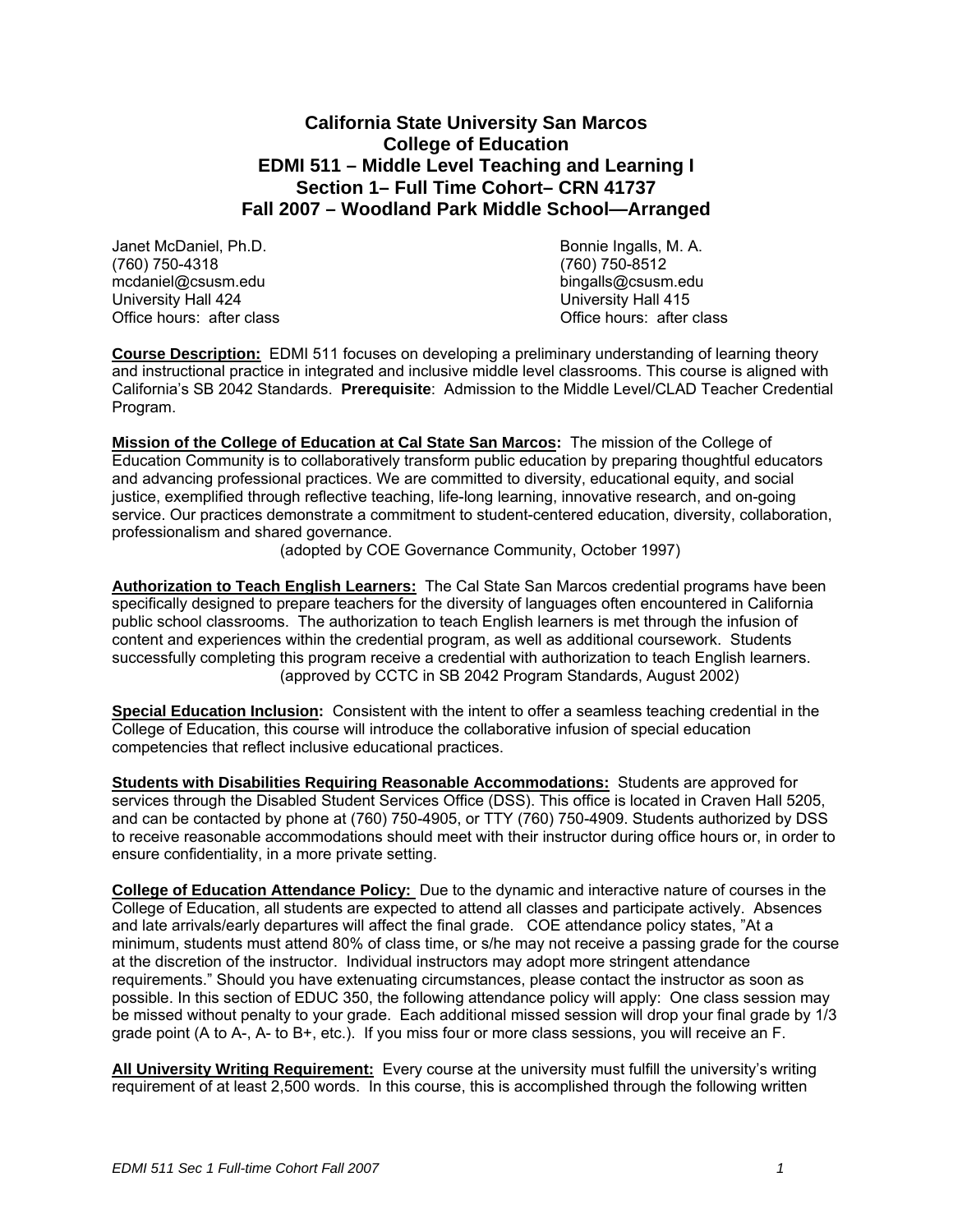# **California State University San Marcos College of Education EDMI 511 – Middle Level Teaching and Learning I Section 1– Full Time Cohort– CRN 41737 Fall 2007 – Woodland Park Middle School—Arranged**

Janet McDaniel, Ph.D. Bonnie Ingalls, M. A. (760) 750-4318 (760) 750-8512  $medaniel@csusm.edu$ University Hall 424 University Hall 424<br>
Office hours: after class Changes All 2006 University Hall 415

Office hours: after class

**Course Description:** EDMI 511 focuses on developing a preliminary understanding of learning theory and instructional practice in integrated and inclusive middle level classrooms. This course is aligned with California's SB 2042 Standards. **Prerequisite**: Admission to the Middle Level/CLAD Teacher Credential Program.

**Mission of the College of Education at Cal State San Marcos:** The mission of the College of Education Community is to collaboratively transform public education by preparing thoughtful educators and advancing professional practices. We are committed to diversity, educational equity, and social justice, exemplified through reflective teaching, life-long learning, innovative research, and on-going service. Our practices demonstrate a commitment to student-centered education, diversity, collaboration, professionalism and shared governance.

(adopted by COE Governance Community, October 1997)

**Authorization to Teach English Learners:** The Cal State San Marcos credential programs have been specifically designed to prepare teachers for the diversity of languages often encountered in California public school classrooms. The authorization to teach English learners is met through the infusion of content and experiences within the credential program, as well as additional coursework. Students successfully completing this program receive a credential with authorization to teach English learners. (approved by CCTC in SB 2042 Program Standards, August 2002)

**Special Education Inclusion:** Consistent with the intent to offer a seamless teaching credential in the College of Education, this course will introduce the collaborative infusion of special education competencies that reflect inclusive educational practices.

**Students with Disabilities Requiring Reasonable Accommodations:** Students are approved for services through the Disabled Student Services Office (DSS). This office is located in Craven Hall 5205, and can be contacted by phone at (760) 750-4905, or TTY (760) 750-4909. Students authorized by DSS to receive reasonable accommodations should meet with their instructor during office hours or, in order to ensure confidentiality, in a more private setting.

**College of Education Attendance Policy:** Due to the dynamic and interactive nature of courses in the College of Education, all students are expected to attend all classes and participate actively. Absences and late arrivals/early departures will affect the final grade. COE attendance policy states, "At a minimum, students must attend 80% of class time, or s/he may not receive a passing grade for the course at the discretion of the instructor. Individual instructors may adopt more stringent attendance requirements." Should you have extenuating circumstances, please contact the instructor as soon as possible. In this section of EDUC 350, the following attendance policy will apply: One class session may be missed without penalty to your grade. Each additional missed session will drop your final grade by 1/3 grade point (A to A-, A- to B+, etc.). If you miss four or more class sessions, you will receive an F.

**All University Writing Requirement:** Every course at the university must fulfill the university's writing requirement of at least 2,500 words. In this course, this is accomplished through the following written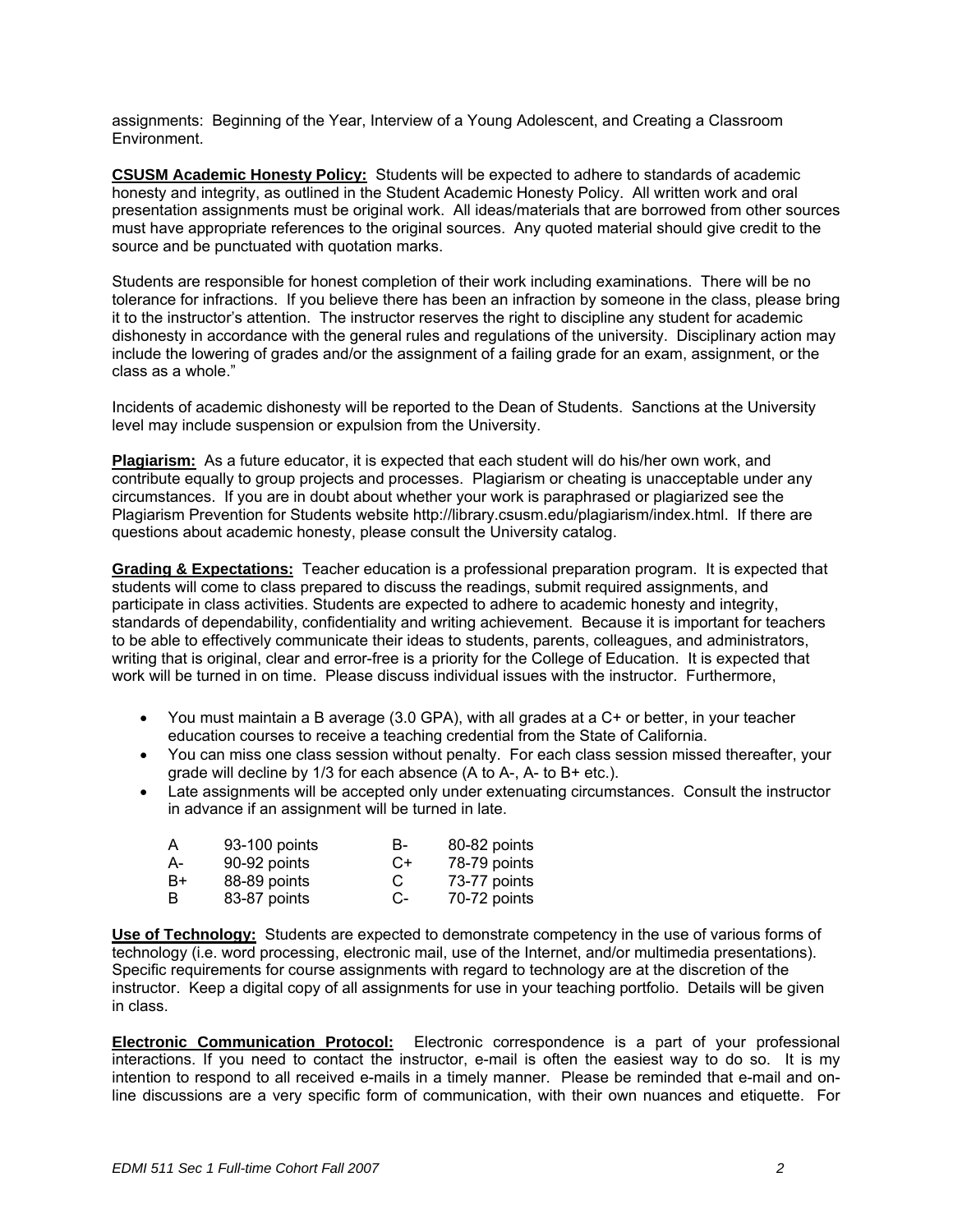assignments: Beginning of the Year, Interview of a Young Adolescent, and Creating a Classroom Environment.

**CSUSM Academic Honesty Policy:** Students will be expected to adhere to standards of academic honesty and integrity, as outlined in the Student Academic Honesty Policy. All written work and oral presentation assignments must be original work. All ideas/materials that are borrowed from other sources must have appropriate references to the original sources. Any quoted material should give credit to the source and be punctuated with quotation marks.

Students are responsible for honest completion of their work including examinations. There will be no tolerance for infractions. If you believe there has been an infraction by someone in the class, please bring it to the instructor's attention. The instructor reserves the right to discipline any student for academic dishonesty in accordance with the general rules and regulations of the university. Disciplinary action may include the lowering of grades and/or the assignment of a failing grade for an exam, assignment, or the class as a whole."

Incidents of academic dishonesty will be reported to the Dean of Students. Sanctions at the University level may include suspension or expulsion from the University.

**Plagiarism:** As a future educator, it is expected that each student will do his/her own work, and contribute equally to group projects and processes. Plagiarism or cheating is unacceptable under any circumstances. If you are in doubt about whether your work is paraphrased or plagiarized see the Plagiarism Prevention for Students website http://library.csusm.edu/plagiarism/index.html. If there are questions about academic honesty, please consult the University catalog.

**Grading & Expectations:** Teacher education is a professional preparation program. It is expected that students will come to class prepared to discuss the readings, submit required assignments, and participate in class activities. Students are expected to adhere to academic honesty and integrity, standards of dependability, confidentiality and writing achievement. Because it is important for teachers to be able to effectively communicate their ideas to students, parents, colleagues, and administrators, writing that is original, clear and error-free is a priority for the College of Education. It is expected that work will be turned in on time. Please discuss individual issues with the instructor. Furthermore,

- You must maintain a B average (3.0 GPA), with all grades at a C+ or better, in your teacher education courses to receive a teaching credential from the State of California.
- You can miss one class session without penalty. For each class session missed thereafter, your grade will decline by 1/3 for each absence (A to A-, A- to B+ etc.).
- Late assignments will be accepted only under extenuating circumstances. Consult the instructor in advance if an assignment will be turned in late.

| Α  | 93-100 points | в-   | 80-82 points |
|----|---------------|------|--------------|
| A- | 90-92 points  | $C+$ | 78-79 points |
| B+ | 88-89 points  | C    | 73-77 points |
| B  | 83-87 points  | C-   | 70-72 points |

**Use of Technology:** Students are expected to demonstrate competency in the use of various forms of technology (i.e. word processing, electronic mail, use of the Internet, and/or multimedia presentations). Specific requirements for course assignments with regard to technology are at the discretion of the instructor. Keep a digital copy of all assignments for use in your teaching portfolio. Details will be given in class.

**Electronic Communication Protocol:** Electronic correspondence is a part of your professional interactions. If you need to contact the instructor, e-mail is often the easiest way to do so. It is my intention to respond to all received e-mails in a timely manner. Please be reminded that e-mail and online discussions are a very specific form of communication, with their own nuances and etiquette. For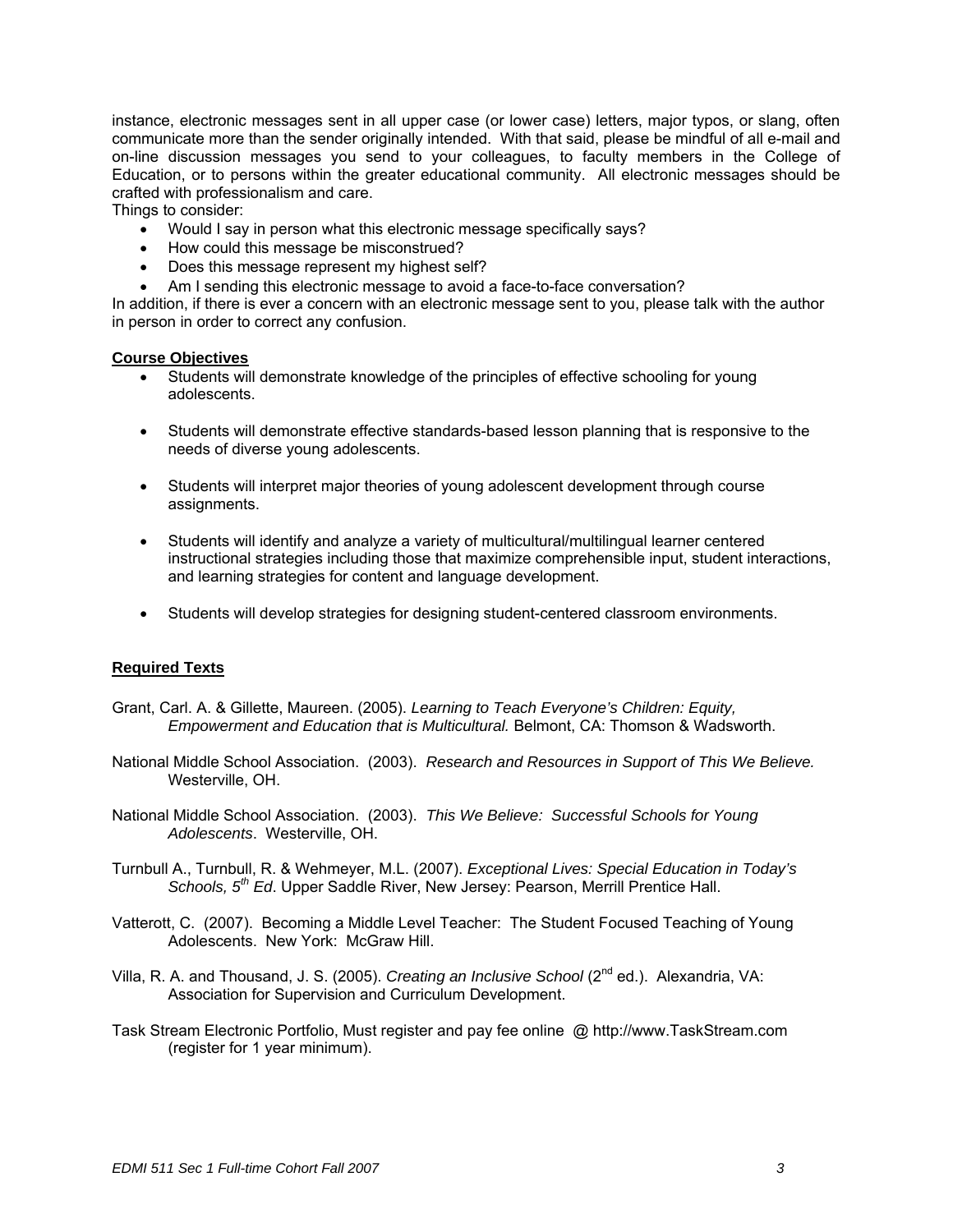instance, electronic messages sent in all upper case (or lower case) letters, major typos, or slang, often communicate more than the sender originally intended. With that said, please be mindful of all e-mail and on-line discussion messages you send to your colleagues, to faculty members in the College of Education, or to persons within the greater educational community. All electronic messages should be crafted with professionalism and care.

Things to consider:

- Would I say in person what this electronic message specifically says?
- How could this message be misconstrued?
- Does this message represent my highest self?
- Am I sending this electronic message to avoid a face-to-face conversation?

In addition, if there is ever a concern with an electronic message sent to you, please talk with the author in person in order to correct any confusion.

### **Course Objectives**

- Students will demonstrate knowledge of the principles of effective schooling for young adolescents.
- Students will demonstrate effective standards-based lesson planning that is responsive to the needs of diverse young adolescents.
- Students will interpret major theories of young adolescent development through course assignments.
- Students will identify and analyze a variety of multicultural/multilingual learner centered instructional strategies including those that maximize comprehensible input, student interactions, and learning strategies for content and language development.
- Students will develop strategies for designing student-centered classroom environments.

## **Required Texts**

- Grant, Carl. A. & Gillette, Maureen. (2005). *Learning to Teach Everyone's Children: Equity, Empowerment and Education that is Multicultural.* Belmont, CA: Thomson & Wadsworth.
- National Middle School Association. (2003). *Research and Resources in Support of This We Believe.* Westerville, OH.
- National Middle School Association. (2003). *This We Believe: Successful Schools for Young Adolescents*. Westerville, OH.
- Turnbull A., Turnbull, R. & Wehmeyer, M.L. (2007). *Exceptional Lives: Special Education in Today's Schools, 5th Ed*. Upper Saddle River, New Jersey: Pearson, Merrill Prentice Hall.
- Vatterott, C. (2007). Becoming a Middle Level Teacher: The Student Focused Teaching of Young Adolescents. New York: McGraw Hill.
- Villa, R. A. and Thousand, J. S. (2005). *Creating an Inclusive School* (2nd ed.). Alexandria, VA: Association for Supervision and Curriculum Development.
- Task Stream Electronic Portfolio, Must register and pay fee online @ http://www.TaskStream.com (register for 1 year minimum).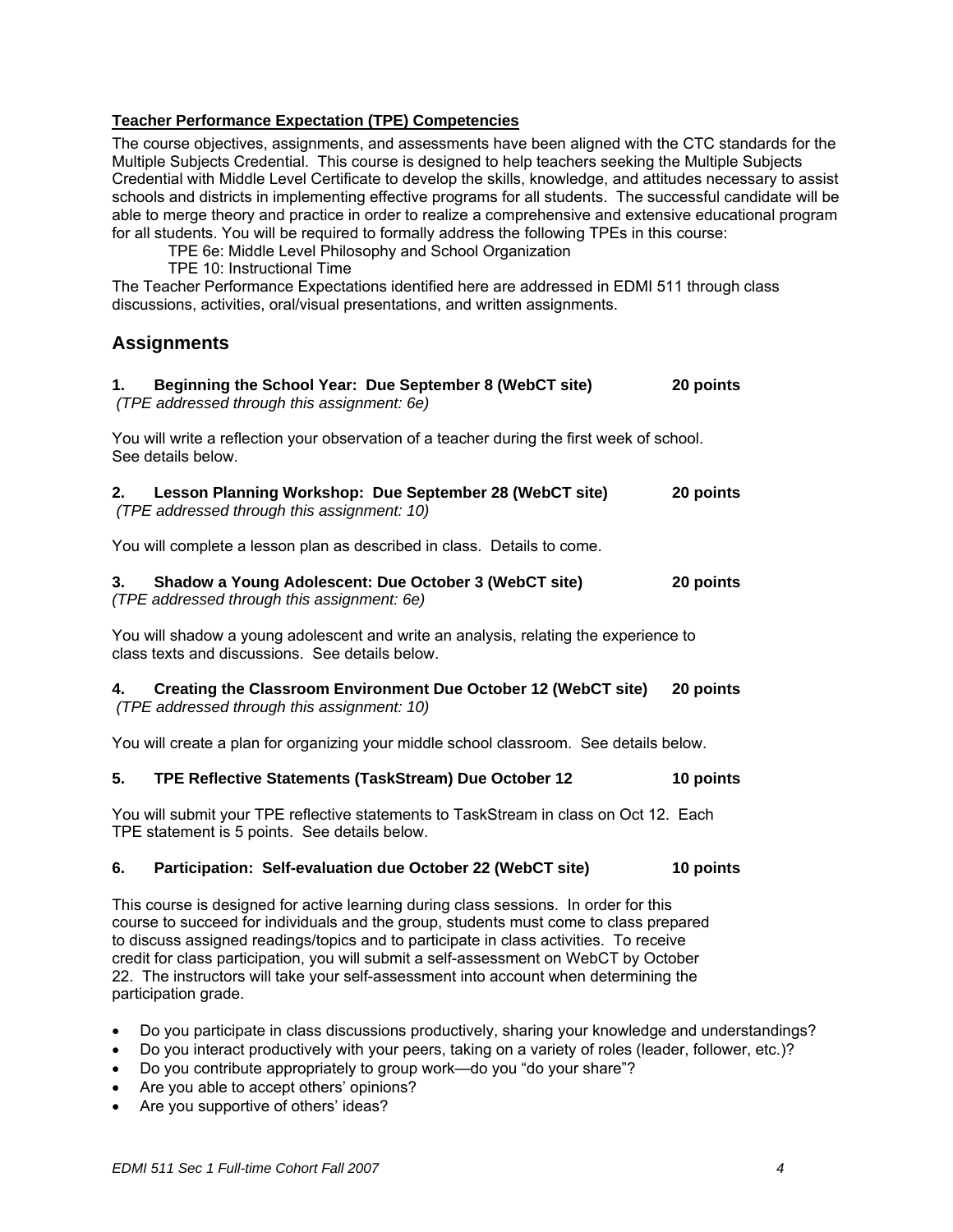# **Teacher Performance Expectation (TPE) Competencies**

The course objectives, assignments, and assessments have been aligned with the CTC standards for the Multiple Subjects Credential. This course is designed to help teachers seeking the Multiple Subjects Credential with Middle Level Certificate to develop the skills, knowledge, and attitudes necessary to assist schools and districts in implementing effective programs for all students. The successful candidate will be able to merge theory and practice in order to realize a comprehensive and extensive educational program for all students. You will be required to formally address the following TPEs in this course:

TPE 6e: Middle Level Philosophy and School Organization

TPE 10: Instructional Time

The Teacher Performance Expectations identified here are addressed in EDMI 511 through class discussions, activities, oral/visual presentations, and written assignments.

# **Assignments**

| Beginning the School Year: Due September 8 (WebCT site)<br>1.<br>(TPE addressed through this assignment: 6e)                                                                                                                                                                                                                                                                                                                                                                     | 20 points |  |  |
|----------------------------------------------------------------------------------------------------------------------------------------------------------------------------------------------------------------------------------------------------------------------------------------------------------------------------------------------------------------------------------------------------------------------------------------------------------------------------------|-----------|--|--|
| You will write a reflection your observation of a teacher during the first week of school.<br>See details below.                                                                                                                                                                                                                                                                                                                                                                 |           |  |  |
| Lesson Planning Workshop: Due September 28 (WebCT site)<br>2.<br>(TPE addressed through this assignment: 10)                                                                                                                                                                                                                                                                                                                                                                     | 20 points |  |  |
| You will complete a lesson plan as described in class. Details to come.                                                                                                                                                                                                                                                                                                                                                                                                          |           |  |  |
| Shadow a Young Adolescent: Due October 3 (WebCT site)<br>3.<br>(TPE addressed through this assignment: 6e)                                                                                                                                                                                                                                                                                                                                                                       | 20 points |  |  |
| You will shadow a young adolescent and write an analysis, relating the experience to<br>class texts and discussions. See details below.                                                                                                                                                                                                                                                                                                                                          |           |  |  |
| Creating the Classroom Environment Due October 12 (WebCT site)<br>4.<br>(TPE addressed through this assignment: 10)                                                                                                                                                                                                                                                                                                                                                              | 20 points |  |  |
| You will create a plan for organizing your middle school classroom. See details below.                                                                                                                                                                                                                                                                                                                                                                                           |           |  |  |
| TPE Reflective Statements (TaskStream) Due October 12<br>5.                                                                                                                                                                                                                                                                                                                                                                                                                      | 10 points |  |  |
| You will submit your TPE reflective statements to TaskStream in class on Oct 12. Each<br>TPE statement is 5 points. See details below.                                                                                                                                                                                                                                                                                                                                           |           |  |  |
| 6.<br>Participation: Self-evaluation due October 22 (WebCT site)                                                                                                                                                                                                                                                                                                                                                                                                                 | 10 points |  |  |
| This course is designed for active learning during class sessions. In order for this<br>course to succeed for individuals and the group, students must come to class prepared<br>to discuss assigned readings/topics and to participate in class activities. To receive<br>credit for class participation, you will submit a self-assessment on WebCT by October<br>22. The instructors will take your self-assessment into account when determining the<br>participation grade. |           |  |  |

- Do you participate in class discussions productively, sharing your knowledge and understandings?
- Do you interact productively with your peers, taking on a variety of roles (leader, follower, etc.)?
- Do you contribute appropriately to group work—do you "do your share"?
- Are you able to accept others' opinions?
- Are you supportive of others' ideas?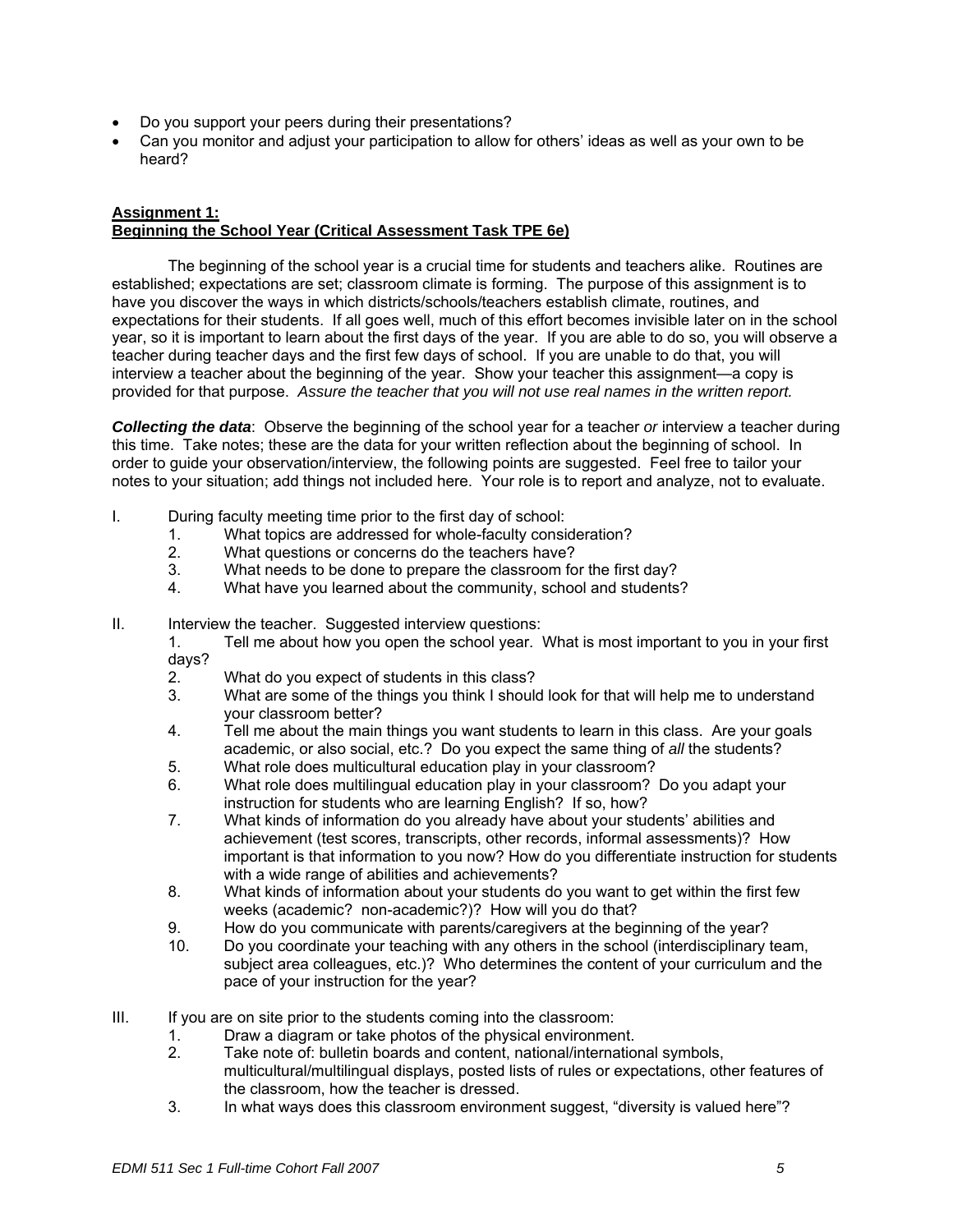- Do you support your peers during their presentations?
- Can you monitor and adjust your participation to allow for others' ideas as well as your own to be heard?

### **Assignment 1: Beginning the School Year (Critical Assessment Task TPE 6e)**

The beginning of the school year is a crucial time for students and teachers alike. Routines are established; expectations are set; classroom climate is forming. The purpose of this assignment is to have you discover the ways in which districts/schools/teachers establish climate, routines, and expectations for their students. If all goes well, much of this effort becomes invisible later on in the school year, so it is important to learn about the first days of the year. If you are able to do so, you will observe a teacher during teacher days and the first few days of school. If you are unable to do that, you will interview a teacher about the beginning of the year. Show your teacher this assignment—a copy is provided for that purpose. *Assure the teacher that you will not use real names in the written report.*

*Collecting the data*: Observe the beginning of the school year for a teacher *or* interview a teacher during this time. Take notes; these are the data for your written reflection about the beginning of school. In order to guide your observation/interview, the following points are suggested. Feel free to tailor your notes to your situation; add things not included here. Your role is to report and analyze, not to evaluate.

- I. During faculty meeting time prior to the first day of school:
	- 1. What topics are addressed for whole-faculty consideration?
	- 2. What questions or concerns do the teachers have?
	- 3. What needs to be done to prepare the classroom for the first day?
	- 4. What have you learned about the community, school and students?
- II. Interview the teacher. Suggested interview questions:
	- 1. Tell me about how you open the school year. What is most important to you in your first days?
	- 2. What do you expect of students in this class?
	- 3. What are some of the things you think I should look for that will help me to understand your classroom better?
	- 4. Tell me about the main things you want students to learn in this class. Are your goals academic, or also social, etc.? Do you expect the same thing of *all* the students?
	- 5. What role does multicultural education play in your classroom?
	- 6. What role does multilingual education play in your classroom? Do you adapt your instruction for students who are learning English? If so, how?
	- 7. What kinds of information do you already have about your students' abilities and achievement (test scores, transcripts, other records, informal assessments)? How important is that information to you now? How do you differentiate instruction for students with a wide range of abilities and achievements?
	- 8. What kinds of information about your students do you want to get within the first few weeks (academic? non-academic?)? How will you do that?
	- 9. How do you communicate with parents/caregivers at the beginning of the year?
	- 10. Do you coordinate your teaching with any others in the school (interdisciplinary team, subject area colleagues, etc.)? Who determines the content of your curriculum and the pace of your instruction for the year?
- III. If you are on site prior to the students coming into the classroom:
	- 1. Draw a diagram or take photos of the physical environment.<br>2. Take note of: bulletin boards and content, national/internatio
	- Take note of: bulletin boards and content, national/international symbols, multicultural/multilingual displays, posted lists of rules or expectations, other features of the classroom, how the teacher is dressed.
	- 3. In what ways does this classroom environment suggest, "diversity is valued here"?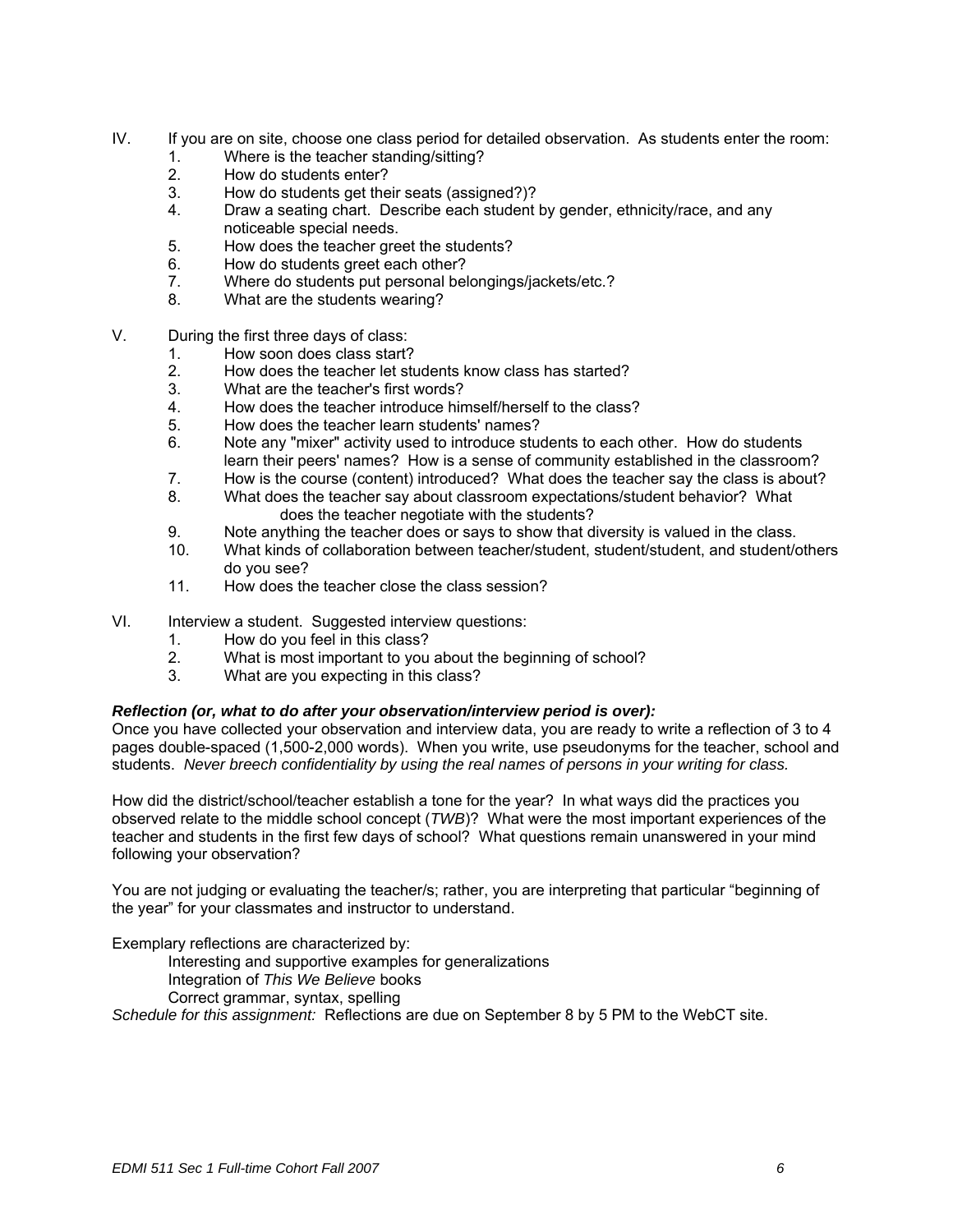- IV. If you are on site, choose one class period for detailed observation. As students enter the room:
	- 1. Where is the teacher standing/sitting?
	- 2. How do students enter?
	- 3. How do students get their seats (assigned?)?
	- 4. Draw a seating chart. Describe each student by gender, ethnicity/race, and any noticeable special needs.
	- 5. How does the teacher greet the students?
	- 6. How do students greet each other?
	- 7. Where do students put personal belongings/jackets/etc.?
	- 8. What are the students wearing?
- V. During the first three days of class:
	- 1. How soon does class start?
	- 2. How does the teacher let students know class has started?
	- 3. What are the teacher's first words?
	- 4. How does the teacher introduce himself/herself to the class?
	- 5. How does the teacher learn students' names?
	- 6. Note any "mixer" activity used to introduce students to each other. How do students learn their peers' names? How is a sense of community established in the classroom?
	- 7. How is the course (content) introduced? What does the teacher say the class is about?
	- 8. What does the teacher say about classroom expectations/student behavior? What does the teacher negotiate with the students?
	- 9. Note anything the teacher does or says to show that diversity is valued in the class.
	- 10. What kinds of collaboration between teacher/student, student/student, and student/others do you see?
	- 11. How does the teacher close the class session?
- VI. Interview a student. Suggested interview questions:
	- 1. How do you feel in this class?
	- 2. What is most important to you about the beginning of school?
	- 3. What are you expecting in this class?

### *Reflection (or, what to do after your observation/interview period is over):*

Once you have collected your observation and interview data, you are ready to write a reflection of 3 to 4 pages double-spaced (1,500-2,000 words). When you write, use pseudonyms for the teacher, school and students. *Never breech confidentiality by using the real names of persons in your writing for class.* 

How did the district/school/teacher establish a tone for the year? In what ways did the practices you observed relate to the middle school concept (*TWB*)? What were the most important experiences of the teacher and students in the first few days of school? What questions remain unanswered in your mind following your observation?

You are not judging or evaluating the teacher/s; rather, you are interpreting that particular "beginning of the year" for your classmates and instructor to understand.

Exemplary reflections are characterized by:

- Interesting and supportive examples for generalizations
- Integration of *This We Believe* books
- Correct grammar, syntax, spelling

*Schedule for this assignment:* Reflections are due on September 8 by 5 PM to the WebCT site.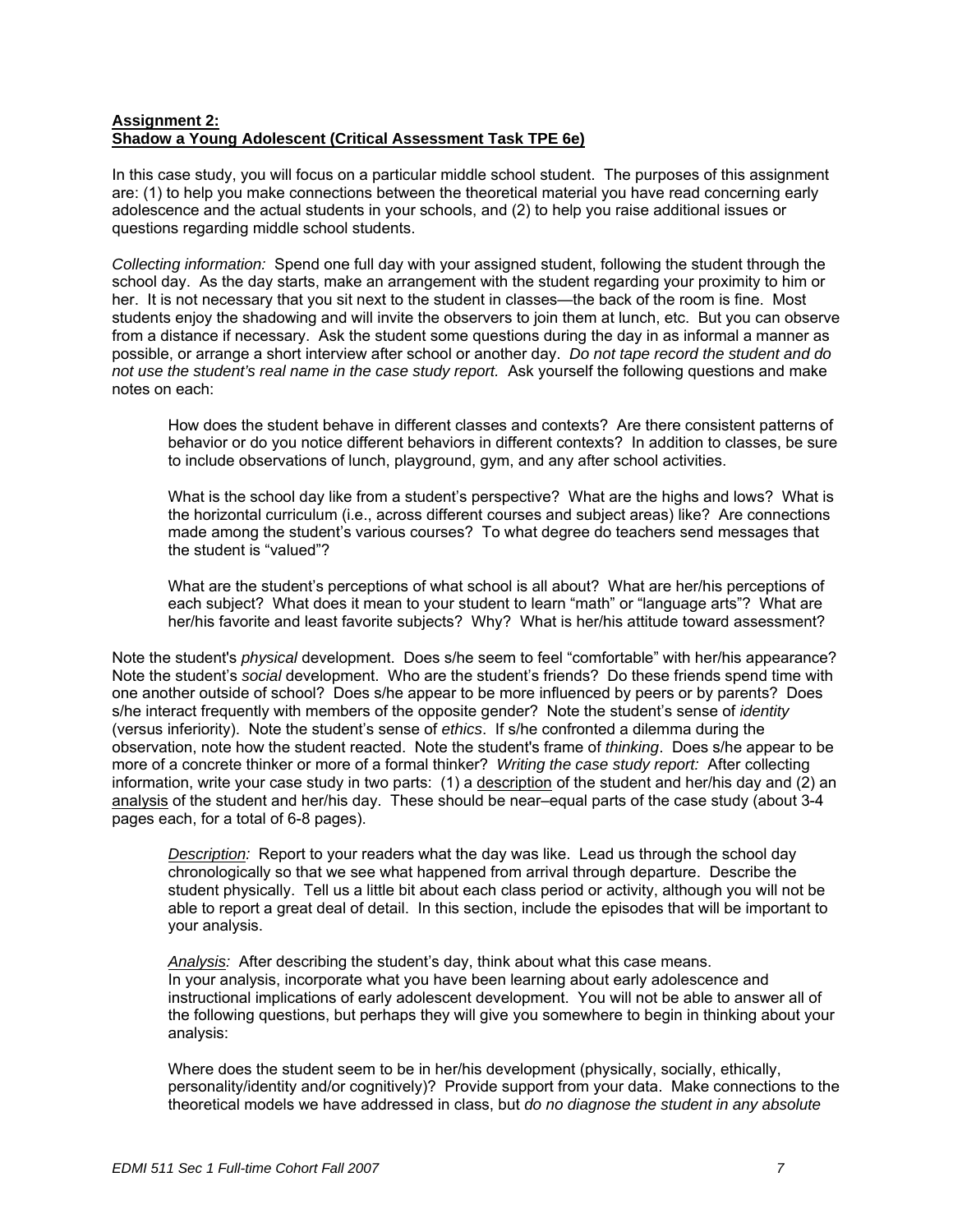## **Assignment 2: Shadow a Young Adolescent (Critical Assessment Task TPE 6e)**

In this case study, you will focus on a particular middle school student. The purposes of this assignment are: (1) to help you make connections between the theoretical material you have read concerning early adolescence and the actual students in your schools, and (2) to help you raise additional issues or questions regarding middle school students.

*Collecting information:* Spend one full day with your assigned student, following the student through the school day. As the day starts, make an arrangement with the student regarding your proximity to him or her. It is not necessary that you sit next to the student in classes—the back of the room is fine. Most students enjoy the shadowing and will invite the observers to join them at lunch, etc. But you can observe from a distance if necessary. Ask the student some questions during the day in as informal a manner as possible, or arrange a short interview after school or another day. *Do not tape record the student and do not use the student's real name in the case study report.* Ask yourself the following questions and make notes on each:

How does the student behave in different classes and contexts? Are there consistent patterns of behavior or do you notice different behaviors in different contexts? In addition to classes, be sure to include observations of lunch, playground, gym, and any after school activities.

What is the school day like from a student's perspective? What are the highs and lows? What is the horizontal curriculum (i.e., across different courses and subject areas) like? Are connections made among the student's various courses? To what degree do teachers send messages that the student is "valued"?

What are the student's perceptions of what school is all about? What are her/his perceptions of each subject? What does it mean to your student to learn "math" or "language arts"? What are her/his favorite and least favorite subjects? Why? What is her/his attitude toward assessment?

Note the student's *physical* development. Does s/he seem to feel "comfortable" with her/his appearance? Note the student's *social* development. Who are the student's friends? Do these friends spend time with one another outside of school? Does s/he appear to be more influenced by peers or by parents? Does s/he interact frequently with members of the opposite gender? Note the student's sense of *identity* (versus inferiority). Note the student's sense of *ethics*. If s/he confronted a dilemma during the observation, note how the student reacted. Note the student's frame of *thinking*. Does s/he appear to be more of a concrete thinker or more of a formal thinker? *Writing the case study report:* After collecting information, write your case study in two parts: (1) a description of the student and her/his day and (2) an analysis of the student and her/his day. These should be near–equal parts of the case study (about 3-4 pages each, for a total of 6-8 pages).

*Description:* Report to your readers what the day was like. Lead us through the school day chronologically so that we see what happened from arrival through departure. Describe the student physically. Tell us a little bit about each class period or activity, although you will not be able to report a great deal of detail. In this section, include the episodes that will be important to your analysis.

*Analysis:* After describing the student's day, think about what this case means. In your analysis, incorporate what you have been learning about early adolescence and instructional implications of early adolescent development. You will not be able to answer all of the following questions, but perhaps they will give you somewhere to begin in thinking about your analysis:

Where does the student seem to be in her/his development (physically, socially, ethically, personality/identity and/or cognitively)? Provide support from your data. Make connections to the theoretical models we have addressed in class, but *do no diagnose the student in any absolute*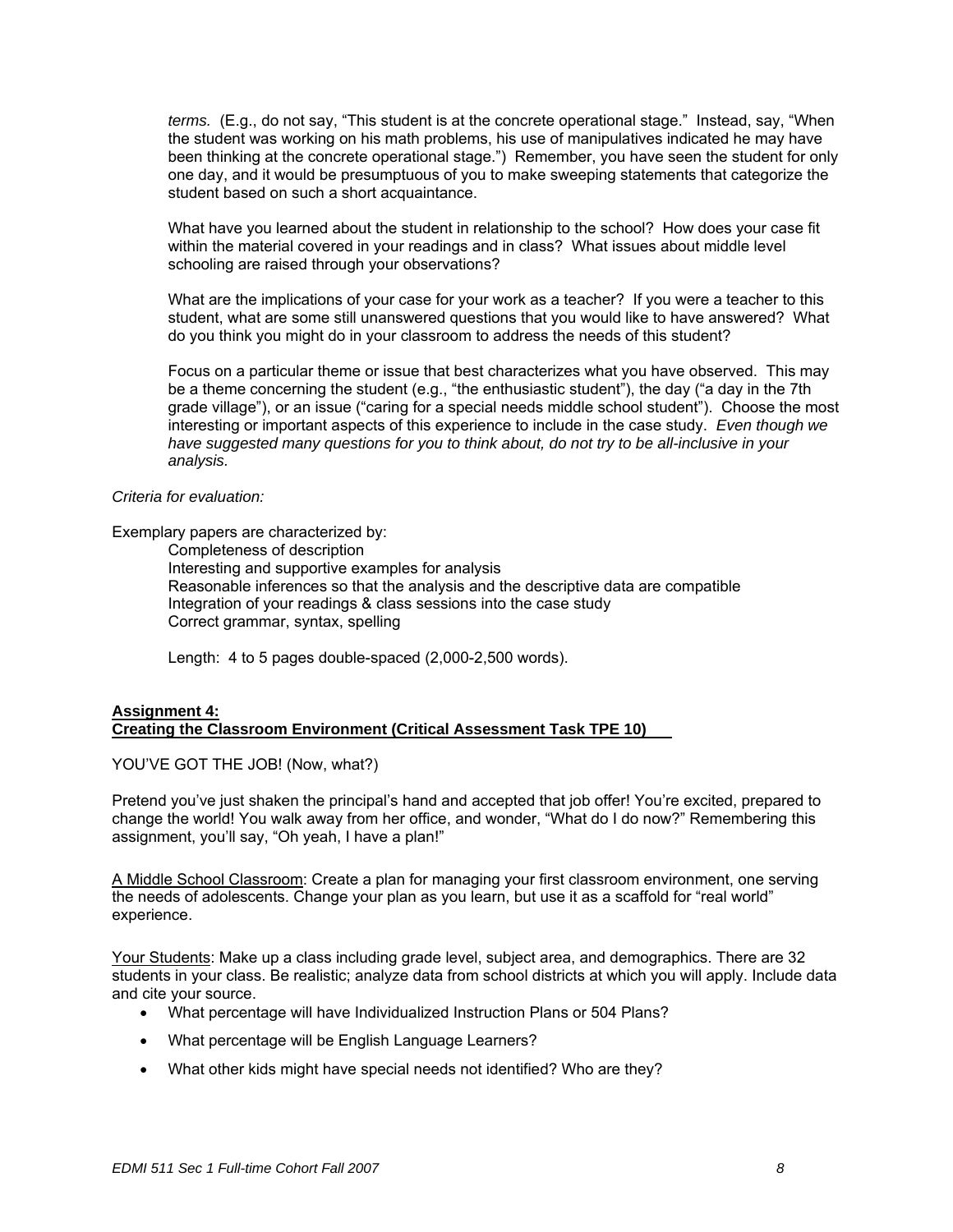*terms.* (E.g., do not say, "This student is at the concrete operational stage." Instead, say, "When the student was working on his math problems, his use of manipulatives indicated he may have been thinking at the concrete operational stage.") Remember, you have seen the student for only one day, and it would be presumptuous of you to make sweeping statements that categorize the student based on such a short acquaintance.

What have you learned about the student in relationship to the school? How does your case fit within the material covered in your readings and in class? What issues about middle level schooling are raised through your observations?

What are the implications of your case for your work as a teacher? If you were a teacher to this student, what are some still unanswered questions that you would like to have answered? What do you think you might do in your classroom to address the needs of this student?

Focus on a particular theme or issue that best characterizes what you have observed. This may be a theme concerning the student (e.g., "the enthusiastic student"), the day ("a day in the 7th grade village"), or an issue ("caring for a special needs middle school student"). Choose the most interesting or important aspects of this experience to include in the case study. *Even though we have suggested many questions for you to think about, do not try to be all-inclusive in your analysis.* 

#### *Criteria for evaluation:*

Exemplary papers are characterized by:

Completeness of description Interesting and supportive examples for analysis Reasonable inferences so that the analysis and the descriptive data are compatible Integration of your readings & class sessions into the case study Correct grammar, syntax, spelling

Length: 4 to 5 pages double-spaced (2,000-2,500 words).

#### **Assignment 4: Creating the Classroom Environment (Critical Assessment Task TPE 10)**

YOU'VE GOT THE JOB! (Now, what?)

Pretend you've just shaken the principal's hand and accepted that job offer! You're excited, prepared to change the world! You walk away from her office, and wonder, "What do I do now?" Remembering this assignment, you'll say, "Oh yeah, I have a plan!"

A Middle School Classroom: Create a plan for managing your first classroom environment, one serving the needs of adolescents. Change your plan as you learn, but use it as a scaffold for "real world" experience.

Your Students: Make up a class including grade level, subject area, and demographics. There are 32 students in your class. Be realistic; analyze data from school districts at which you will apply. Include data and cite your source.

- What percentage will have Individualized Instruction Plans or 504 Plans?
- What percentage will be English Language Learners?
- What other kids might have special needs not identified? Who are they?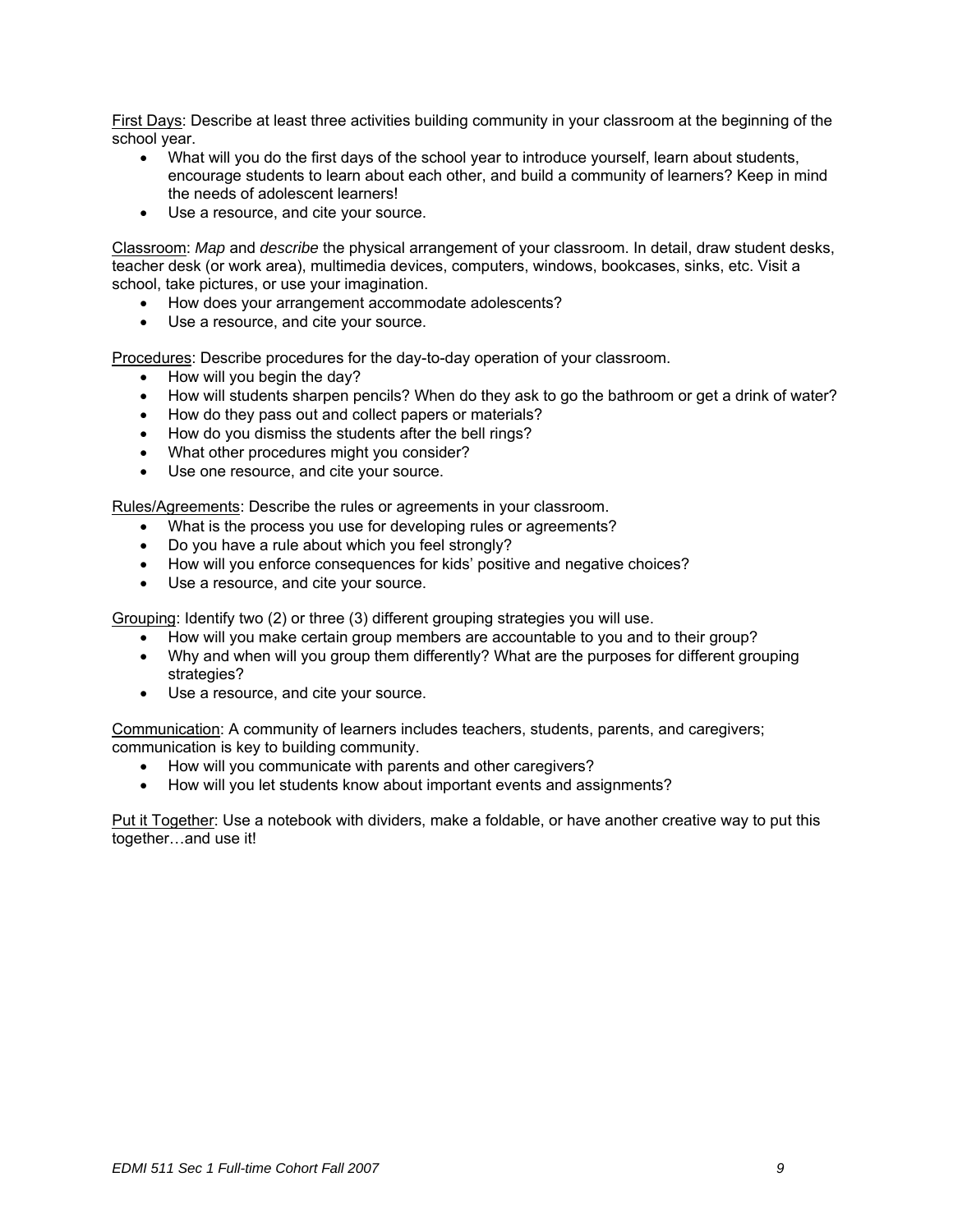First Days: Describe at least three activities building community in your classroom at the beginning of the school year.

- What will you do the first days of the school year to introduce yourself, learn about students, encourage students to learn about each other, and build a community of learners? Keep in mind the needs of adolescent learners!
- Use a resource, and cite your source.

Classroom: *Map* and *describe* the physical arrangement of your classroom. In detail, draw student desks, teacher desk (or work area), multimedia devices, computers, windows, bookcases, sinks, etc. Visit a school, take pictures, or use your imagination.

- How does your arrangement accommodate adolescents?
- Use a resource, and cite your source.

Procedures: Describe procedures for the day-to-day operation of your classroom.

- How will you begin the day?
- How will students sharpen pencils? When do they ask to go the bathroom or get a drink of water?
- How do they pass out and collect papers or materials?
- How do you dismiss the students after the bell rings?
- What other procedures might you consider?
- Use one resource, and cite your source.

Rules/Agreements: Describe the rules or agreements in your classroom.

- What is the process you use for developing rules or agreements?
- Do you have a rule about which you feel strongly?
- How will you enforce consequences for kids' positive and negative choices?
- Use a resource, and cite your source.

Grouping: Identify two (2) or three (3) different grouping strategies you will use.

- How will you make certain group members are accountable to you and to their group?
- Why and when will you group them differently? What are the purposes for different grouping strategies?
- Use a resource, and cite your source.

Communication: A community of learners includes teachers, students, parents, and caregivers; communication is key to building community.

- How will you communicate with parents and other caregivers?
- How will you let students know about important events and assignments?

Put it Together: Use a notebook with dividers, make a foldable, or have another creative way to put this together…and use it!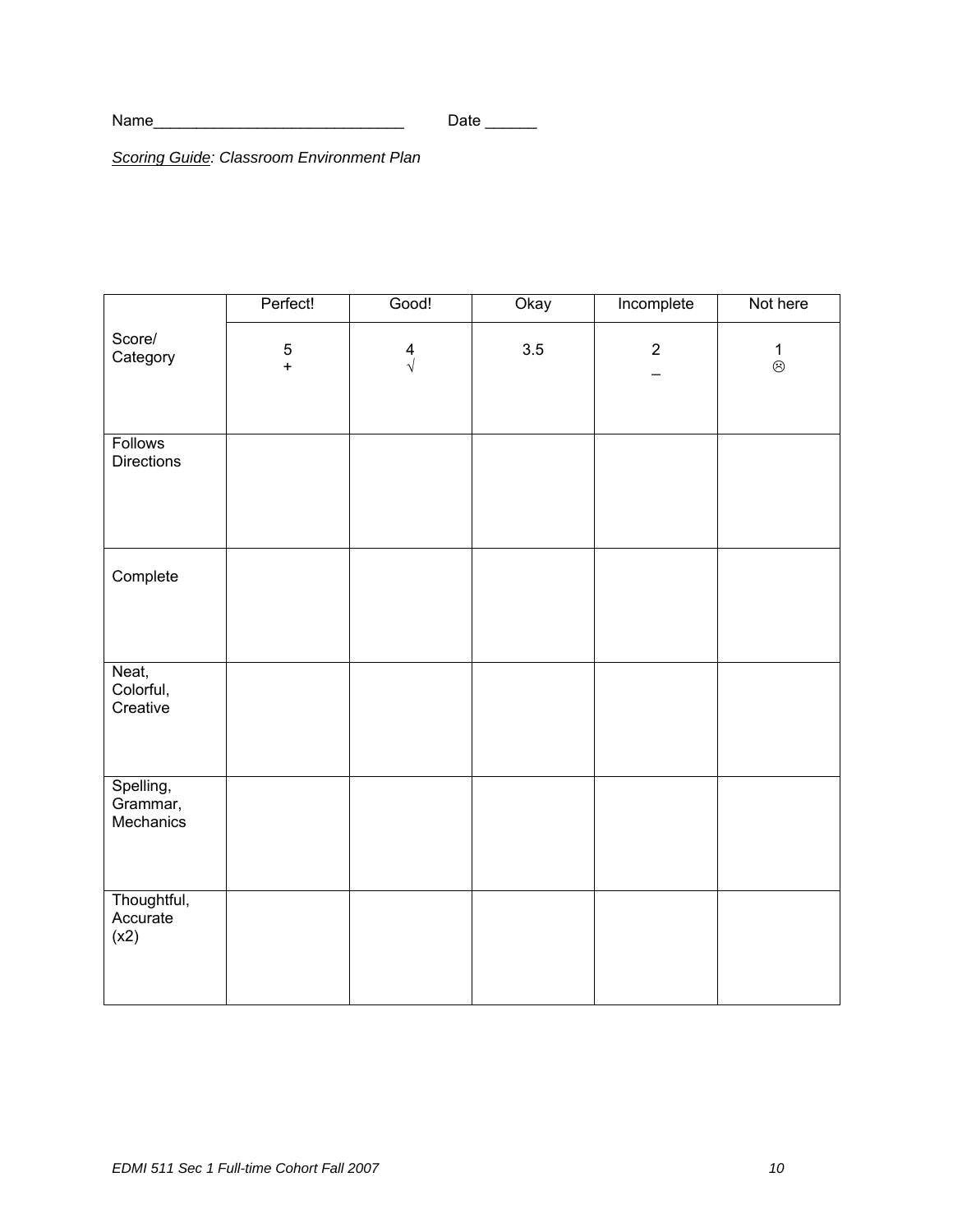*Scoring Guide: Classroom Environment Plan* 

|                                     | Perfect!      | Good!                | Okay | Incomplete  | Not here                 |
|-------------------------------------|---------------|----------------------|------|-------------|--------------------------|
| Score/<br>Category                  | $\frac{5}{+}$ | $\frac{4}{\sqrt{2}}$ | 3.5  | $\mathbf 2$ | $\frac{1}{\circledcirc}$ |
| <b>Follows</b><br><b>Directions</b> |               |                      |      |             |                          |
| Complete                            |               |                      |      |             |                          |
| Neat,<br>Colorful,<br>Creative      |               |                      |      |             |                          |
| Spelling,<br>Grammar,<br>Mechanics  |               |                      |      |             |                          |
| Thoughtful,<br>Accurate<br>(x2)     |               |                      |      |             |                          |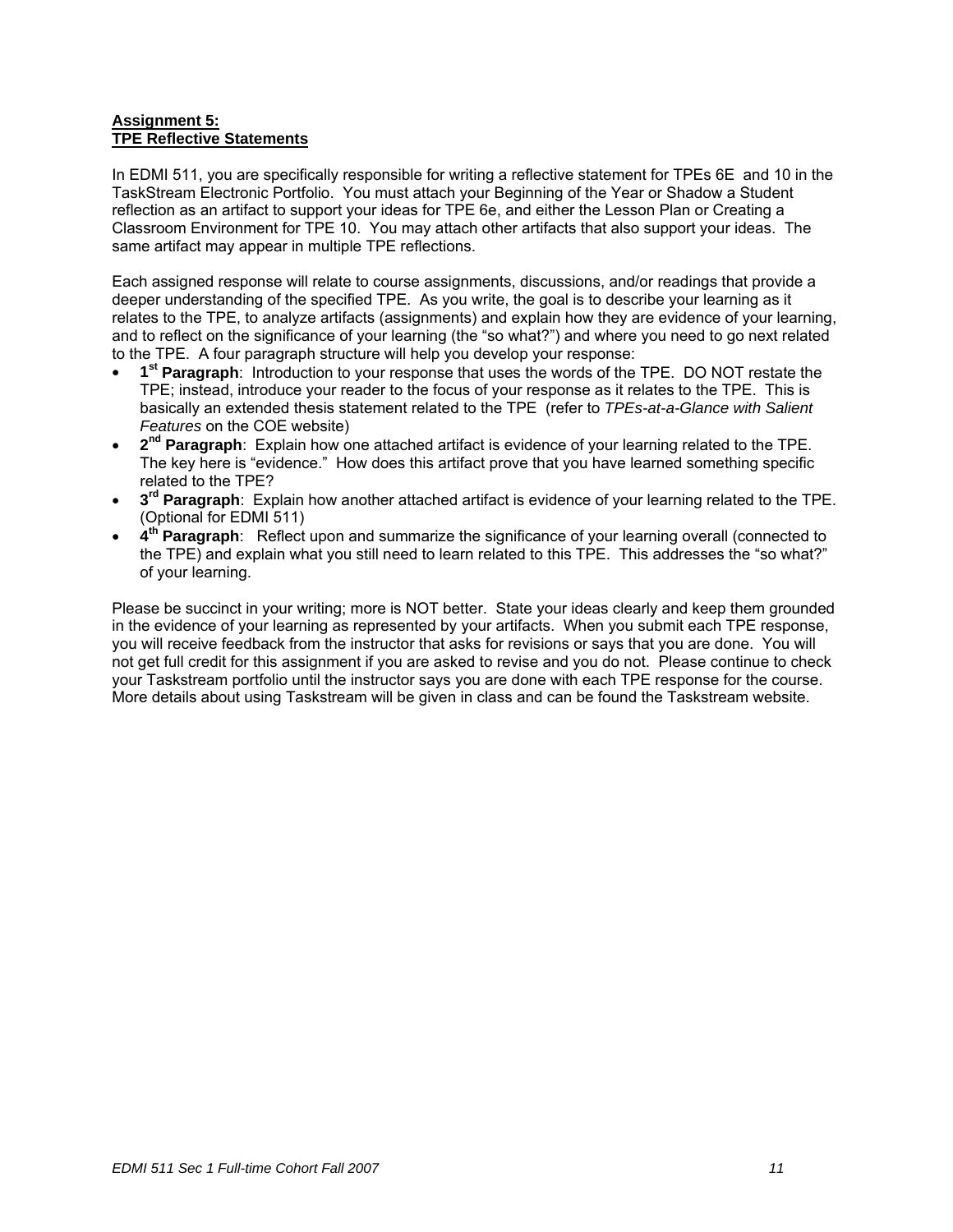## **Assignment 5: TPE Reflective Statements**

In EDMI 511, you are specifically responsible for writing a reflective statement for TPEs 6E and 10 in the TaskStream Electronic Portfolio. You must attach your Beginning of the Year or Shadow a Student reflection as an artifact to support your ideas for TPE 6e, and either the Lesson Plan or Creating a Classroom Environment for TPE 10. You may attach other artifacts that also support your ideas. The same artifact may appear in multiple TPE reflections.

Each assigned response will relate to course assignments, discussions, and/or readings that provide a deeper understanding of the specified TPE. As you write, the goal is to describe your learning as it relates to the TPE, to analyze artifacts (assignments) and explain how they are evidence of your learning, and to reflect on the significance of your learning (the "so what?") and where you need to go next related to the TPE. A four paragraph structure will help you develop your response:

- **1st Paragraph**: Introduction to your response that uses the words of the TPE. DO NOT restate the TPE; instead, introduce your reader to the focus of your response as it relates to the TPE. This is basically an extended thesis statement related to the TPE (refer to *TPEs-at-a-Glance with Salient Features* on the COE website)
- **2nd Paragraph**: Explain how one attached artifact is evidence of your learning related to the TPE. The key here is "evidence." How does this artifact prove that you have learned something specific related to the TPE?
- **3rd Paragraph**: Explain how another attached artifact is evidence of your learning related to the TPE. (Optional for EDMI 511)
- **4th Paragraph**: Reflect upon and summarize the significance of your learning overall (connected to the TPE) and explain what you still need to learn related to this TPE. This addresses the "so what?" of your learning.

Please be succinct in your writing; more is NOT better. State your ideas clearly and keep them grounded in the evidence of your learning as represented by your artifacts. When you submit each TPE response, you will receive feedback from the instructor that asks for revisions or says that you are done. You will not get full credit for this assignment if you are asked to revise and you do not. Please continue to check your Taskstream portfolio until the instructor says you are done with each TPE response for the course. More details about using Taskstream will be given in class and can be found the Taskstream website.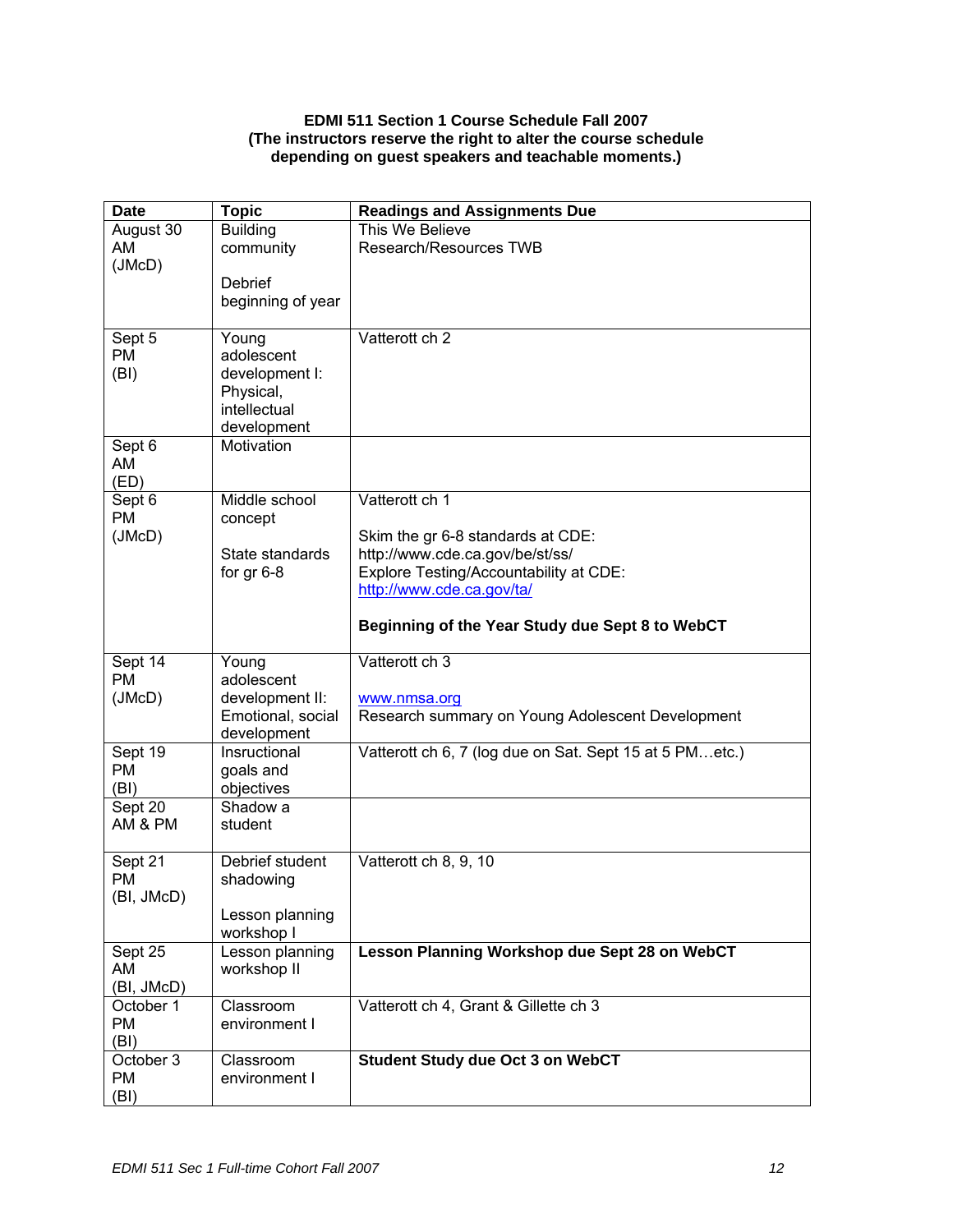## **EDMI 511 Section 1 Course Schedule Fall 2007 (The instructors reserve the right to alter the course schedule depending on guest speakers and teachable moments.)**

| August 30<br>Research/Resources TWB<br>AM<br>community<br>(JMcD)<br>Debrief<br>beginning of year<br>Vatterott ch 2<br>Sept 5<br>Young<br><b>PM</b><br>adolescent<br>(BI)<br>development I:<br>Physical,<br>intellectual<br>development<br>Motivation<br>Sept 6<br>AM<br>(ED)<br>Middle school<br>Vatterott ch 1<br>Sept 6<br><b>PM</b><br>concept<br>(JMcD)<br>Skim the gr 6-8 standards at CDE:<br>http://www.cde.ca.gov/be/st/ss/<br>State standards<br>Explore Testing/Accountability at CDE:<br>for $gr 6-8$<br>http://www.cde.ca.gov/ta/<br>Beginning of the Year Study due Sept 8 to WebCT<br>Vatterott ch 3<br>Sept 14<br>Young<br><b>PM</b><br>adolescent<br>(JMcD)<br>development II:<br>www.nmsa.org<br>Emotional, social<br>Research summary on Young Adolescent Development<br>development<br>Sept 19<br>Insructional<br>Vatterott ch 6, 7 (log due on Sat. Sept 15 at 5 PMetc.)<br><b>PM</b><br>goals and<br>(BI)<br>objectives<br>Sept 20<br>Shadow a<br>AM & PM<br>student<br>Debrief student<br>Vatterott ch 8, 9, 10<br>Sept 21<br><b>PM</b><br>shadowing<br>(BI, JMcD)<br>Lesson planning<br>workshop I<br>Sept 25<br>Lesson planning<br>Lesson Planning Workshop due Sept 28 on WebCT<br>workshop II<br>AM<br>(BI, JMcD)<br>Vatterott ch 4, Grant & Gillette ch 3<br>October 1<br>Classroom<br><b>PM</b><br>environment I<br>(BI)<br>October 3<br><b>Student Study due Oct 3 on WebCT</b><br>Classroom<br><b>PM</b><br>environment I | <b>Date</b> | <b>Topic</b>    | <b>Readings and Assignments Due</b> |
|---------------------------------------------------------------------------------------------------------------------------------------------------------------------------------------------------------------------------------------------------------------------------------------------------------------------------------------------------------------------------------------------------------------------------------------------------------------------------------------------------------------------------------------------------------------------------------------------------------------------------------------------------------------------------------------------------------------------------------------------------------------------------------------------------------------------------------------------------------------------------------------------------------------------------------------------------------------------------------------------------------------------------------------------------------------------------------------------------------------------------------------------------------------------------------------------------------------------------------------------------------------------------------------------------------------------------------------------------------------------------------------------------------------------------------------------------------|-------------|-----------------|-------------------------------------|
|                                                                                                                                                                                                                                                                                                                                                                                                                                                                                                                                                                                                                                                                                                                                                                                                                                                                                                                                                                                                                                                                                                                                                                                                                                                                                                                                                                                                                                                         |             | <b>Building</b> | This We Believe                     |
|                                                                                                                                                                                                                                                                                                                                                                                                                                                                                                                                                                                                                                                                                                                                                                                                                                                                                                                                                                                                                                                                                                                                                                                                                                                                                                                                                                                                                                                         |             |                 |                                     |
|                                                                                                                                                                                                                                                                                                                                                                                                                                                                                                                                                                                                                                                                                                                                                                                                                                                                                                                                                                                                                                                                                                                                                                                                                                                                                                                                                                                                                                                         |             |                 |                                     |
|                                                                                                                                                                                                                                                                                                                                                                                                                                                                                                                                                                                                                                                                                                                                                                                                                                                                                                                                                                                                                                                                                                                                                                                                                                                                                                                                                                                                                                                         |             |                 |                                     |
|                                                                                                                                                                                                                                                                                                                                                                                                                                                                                                                                                                                                                                                                                                                                                                                                                                                                                                                                                                                                                                                                                                                                                                                                                                                                                                                                                                                                                                                         |             |                 |                                     |
|                                                                                                                                                                                                                                                                                                                                                                                                                                                                                                                                                                                                                                                                                                                                                                                                                                                                                                                                                                                                                                                                                                                                                                                                                                                                                                                                                                                                                                                         |             |                 |                                     |
|                                                                                                                                                                                                                                                                                                                                                                                                                                                                                                                                                                                                                                                                                                                                                                                                                                                                                                                                                                                                                                                                                                                                                                                                                                                                                                                                                                                                                                                         |             |                 |                                     |
|                                                                                                                                                                                                                                                                                                                                                                                                                                                                                                                                                                                                                                                                                                                                                                                                                                                                                                                                                                                                                                                                                                                                                                                                                                                                                                                                                                                                                                                         |             |                 |                                     |
|                                                                                                                                                                                                                                                                                                                                                                                                                                                                                                                                                                                                                                                                                                                                                                                                                                                                                                                                                                                                                                                                                                                                                                                                                                                                                                                                                                                                                                                         |             |                 |                                     |
|                                                                                                                                                                                                                                                                                                                                                                                                                                                                                                                                                                                                                                                                                                                                                                                                                                                                                                                                                                                                                                                                                                                                                                                                                                                                                                                                                                                                                                                         |             |                 |                                     |
|                                                                                                                                                                                                                                                                                                                                                                                                                                                                                                                                                                                                                                                                                                                                                                                                                                                                                                                                                                                                                                                                                                                                                                                                                                                                                                                                                                                                                                                         |             |                 |                                     |
|                                                                                                                                                                                                                                                                                                                                                                                                                                                                                                                                                                                                                                                                                                                                                                                                                                                                                                                                                                                                                                                                                                                                                                                                                                                                                                                                                                                                                                                         |             |                 |                                     |
|                                                                                                                                                                                                                                                                                                                                                                                                                                                                                                                                                                                                                                                                                                                                                                                                                                                                                                                                                                                                                                                                                                                                                                                                                                                                                                                                                                                                                                                         |             |                 |                                     |
|                                                                                                                                                                                                                                                                                                                                                                                                                                                                                                                                                                                                                                                                                                                                                                                                                                                                                                                                                                                                                                                                                                                                                                                                                                                                                                                                                                                                                                                         |             |                 |                                     |
|                                                                                                                                                                                                                                                                                                                                                                                                                                                                                                                                                                                                                                                                                                                                                                                                                                                                                                                                                                                                                                                                                                                                                                                                                                                                                                                                                                                                                                                         |             |                 |                                     |
|                                                                                                                                                                                                                                                                                                                                                                                                                                                                                                                                                                                                                                                                                                                                                                                                                                                                                                                                                                                                                                                                                                                                                                                                                                                                                                                                                                                                                                                         |             |                 |                                     |
|                                                                                                                                                                                                                                                                                                                                                                                                                                                                                                                                                                                                                                                                                                                                                                                                                                                                                                                                                                                                                                                                                                                                                                                                                                                                                                                                                                                                                                                         |             |                 |                                     |
|                                                                                                                                                                                                                                                                                                                                                                                                                                                                                                                                                                                                                                                                                                                                                                                                                                                                                                                                                                                                                                                                                                                                                                                                                                                                                                                                                                                                                                                         |             |                 |                                     |
|                                                                                                                                                                                                                                                                                                                                                                                                                                                                                                                                                                                                                                                                                                                                                                                                                                                                                                                                                                                                                                                                                                                                                                                                                                                                                                                                                                                                                                                         |             |                 |                                     |
|                                                                                                                                                                                                                                                                                                                                                                                                                                                                                                                                                                                                                                                                                                                                                                                                                                                                                                                                                                                                                                                                                                                                                                                                                                                                                                                                                                                                                                                         |             |                 |                                     |
|                                                                                                                                                                                                                                                                                                                                                                                                                                                                                                                                                                                                                                                                                                                                                                                                                                                                                                                                                                                                                                                                                                                                                                                                                                                                                                                                                                                                                                                         |             |                 |                                     |
|                                                                                                                                                                                                                                                                                                                                                                                                                                                                                                                                                                                                                                                                                                                                                                                                                                                                                                                                                                                                                                                                                                                                                                                                                                                                                                                                                                                                                                                         |             |                 |                                     |
|                                                                                                                                                                                                                                                                                                                                                                                                                                                                                                                                                                                                                                                                                                                                                                                                                                                                                                                                                                                                                                                                                                                                                                                                                                                                                                                                                                                                                                                         |             |                 |                                     |
|                                                                                                                                                                                                                                                                                                                                                                                                                                                                                                                                                                                                                                                                                                                                                                                                                                                                                                                                                                                                                                                                                                                                                                                                                                                                                                                                                                                                                                                         |             |                 |                                     |
|                                                                                                                                                                                                                                                                                                                                                                                                                                                                                                                                                                                                                                                                                                                                                                                                                                                                                                                                                                                                                                                                                                                                                                                                                                                                                                                                                                                                                                                         |             |                 |                                     |
|                                                                                                                                                                                                                                                                                                                                                                                                                                                                                                                                                                                                                                                                                                                                                                                                                                                                                                                                                                                                                                                                                                                                                                                                                                                                                                                                                                                                                                                         |             |                 |                                     |
|                                                                                                                                                                                                                                                                                                                                                                                                                                                                                                                                                                                                                                                                                                                                                                                                                                                                                                                                                                                                                                                                                                                                                                                                                                                                                                                                                                                                                                                         |             |                 |                                     |
|                                                                                                                                                                                                                                                                                                                                                                                                                                                                                                                                                                                                                                                                                                                                                                                                                                                                                                                                                                                                                                                                                                                                                                                                                                                                                                                                                                                                                                                         |             |                 |                                     |
|                                                                                                                                                                                                                                                                                                                                                                                                                                                                                                                                                                                                                                                                                                                                                                                                                                                                                                                                                                                                                                                                                                                                                                                                                                                                                                                                                                                                                                                         |             |                 |                                     |
|                                                                                                                                                                                                                                                                                                                                                                                                                                                                                                                                                                                                                                                                                                                                                                                                                                                                                                                                                                                                                                                                                                                                                                                                                                                                                                                                                                                                                                                         |             |                 |                                     |
|                                                                                                                                                                                                                                                                                                                                                                                                                                                                                                                                                                                                                                                                                                                                                                                                                                                                                                                                                                                                                                                                                                                                                                                                                                                                                                                                                                                                                                                         |             |                 |                                     |
|                                                                                                                                                                                                                                                                                                                                                                                                                                                                                                                                                                                                                                                                                                                                                                                                                                                                                                                                                                                                                                                                                                                                                                                                                                                                                                                                                                                                                                                         |             |                 |                                     |
|                                                                                                                                                                                                                                                                                                                                                                                                                                                                                                                                                                                                                                                                                                                                                                                                                                                                                                                                                                                                                                                                                                                                                                                                                                                                                                                                                                                                                                                         |             |                 |                                     |
|                                                                                                                                                                                                                                                                                                                                                                                                                                                                                                                                                                                                                                                                                                                                                                                                                                                                                                                                                                                                                                                                                                                                                                                                                                                                                                                                                                                                                                                         |             |                 |                                     |
|                                                                                                                                                                                                                                                                                                                                                                                                                                                                                                                                                                                                                                                                                                                                                                                                                                                                                                                                                                                                                                                                                                                                                                                                                                                                                                                                                                                                                                                         |             |                 |                                     |
|                                                                                                                                                                                                                                                                                                                                                                                                                                                                                                                                                                                                                                                                                                                                                                                                                                                                                                                                                                                                                                                                                                                                                                                                                                                                                                                                                                                                                                                         |             |                 |                                     |
|                                                                                                                                                                                                                                                                                                                                                                                                                                                                                                                                                                                                                                                                                                                                                                                                                                                                                                                                                                                                                                                                                                                                                                                                                                                                                                                                                                                                                                                         |             |                 |                                     |
|                                                                                                                                                                                                                                                                                                                                                                                                                                                                                                                                                                                                                                                                                                                                                                                                                                                                                                                                                                                                                                                                                                                                                                                                                                                                                                                                                                                                                                                         |             |                 |                                     |
|                                                                                                                                                                                                                                                                                                                                                                                                                                                                                                                                                                                                                                                                                                                                                                                                                                                                                                                                                                                                                                                                                                                                                                                                                                                                                                                                                                                                                                                         |             |                 |                                     |
|                                                                                                                                                                                                                                                                                                                                                                                                                                                                                                                                                                                                                                                                                                                                                                                                                                                                                                                                                                                                                                                                                                                                                                                                                                                                                                                                                                                                                                                         |             |                 |                                     |
|                                                                                                                                                                                                                                                                                                                                                                                                                                                                                                                                                                                                                                                                                                                                                                                                                                                                                                                                                                                                                                                                                                                                                                                                                                                                                                                                                                                                                                                         | (BI)        |                 |                                     |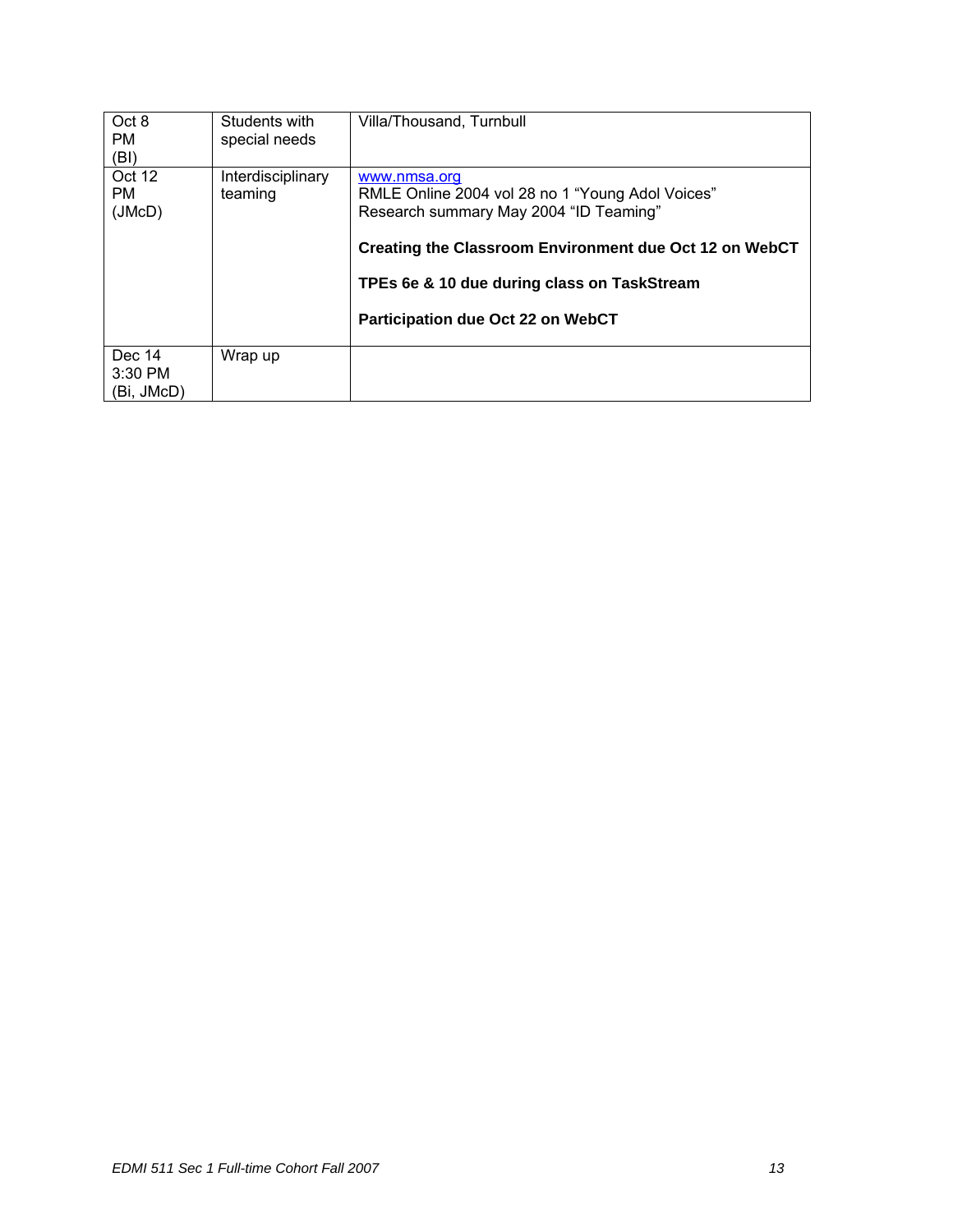| Oct 8<br><b>PM</b><br>(BI)        | Students with<br>special needs | Villa/Thousand, Turnbull                                                                                                                                                                                                                                 |
|-----------------------------------|--------------------------------|----------------------------------------------------------------------------------------------------------------------------------------------------------------------------------------------------------------------------------------------------------|
| Oct 12<br><b>PM</b><br>(JMcD)     | Interdisciplinary<br>teaming   | www.nmsa.org<br>RMLE Online 2004 vol 28 no 1 "Young Adol Voices"<br>Research summary May 2004 "ID Teaming"<br>Creating the Classroom Environment due Oct 12 on WebCT<br>TPEs 6e & 10 due during class on TaskStream<br>Participation due Oct 22 on WebCT |
| Dec 14<br>$3:30$ PM<br>(Bi, JMcD) | Wrap up                        |                                                                                                                                                                                                                                                          |